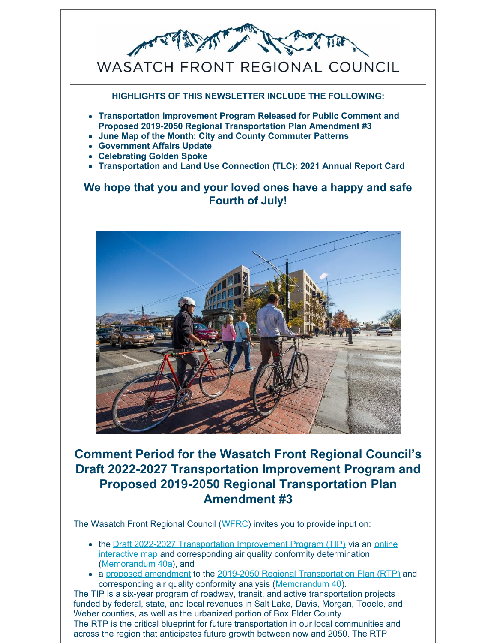

**HIGHLIGHTS OF THIS NEWSLETTER INCLUDE THE FOLLOWING:**

- **Transportation Improvement Program Released for Public Comment and Proposed 2019-2050 Regional Transportation Plan Amendment #3**
- **June Map of the Month: City and County Commuter Patterns**
- **Government Affairs Update**
- **Celebrating Golden Spoke**
- **Transportation and Land Use Connection (TLC): 2021 Annual Report Card**

### **We hope that you and your loved ones have a happy and safe Fourth of July!**



## **Comment Period for the Wasatch Front Regional Council's Draft 2022-2027 Transportation Improvement Program and Proposed 2019-2050 Regional Transportation Plan Amendment #3**

The Wasatch Front Regional Council (WFRC) invites you to provide input on:

- the Draft 2022-2027 Transportation Improvement Program (TIP) via an online interactive map and corresponding air quality conformity determination (Memorandum 40a), and
- a proposed amendment to the 2019-2050 Regional Transportation Plan (RTP) and corresponding air quality conformity analysis (Memorandum 40).

The TIP is a six-year program of roadway, transit, and active transportation projects funded by federal, state, and local revenues in Salt Lake, Davis, Morgan, Tooele, and Weber counties, as well as the urbanized portion of Box Elder County. The RTP is the critical blueprint for future transportation in our local communities and across the region that anticipates future growth between now and 2050. The RTP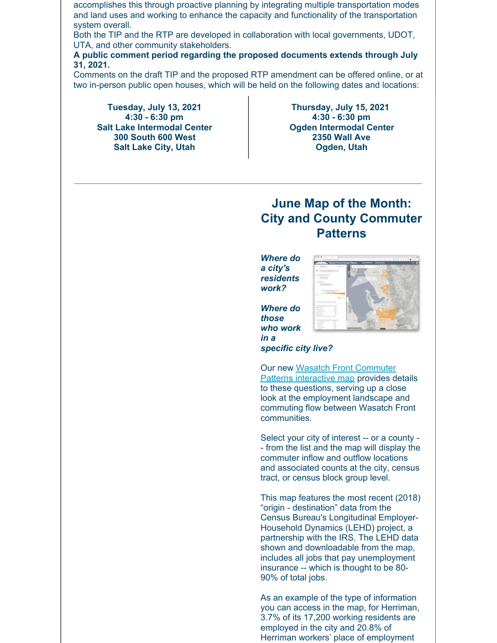accomplishes this through proactive planning by integrating multiple transportation modes and land uses and working to enhance the capacity and functionality of the transportation system overall.

Both the TIP and the RTP are developed in collaboration with local governments, UDOT, UTA, and other community stakeholders.

**A public comment period regarding the proposed documents extends through July 31, 2021.**

Comments on the draft TIP and the proposed RTP amendment can be offered online, or at two in-person public open houses, which will be held on the following dates and locations:

**Tuesday, July 13, 2021 4:30 - 6:30 pm Salt Lake Intermodal Center 300 South 600 West Salt Lake City, Utah**

**Thursday, July 15, 2021 4:30 - 6:30 pm Ogden Intermodal Center 2350 Wall Ave Ogden, Utah**

## **June Map of the Month: City and County Commuter Patterns**

*Where do a city's residents work?*

*Where do those who work in a*

*specific city live?*

Our new Wasatch Front Commuter Patterns interactive map provides details to these questions, serving up a close look at the employment landscape and commuting flow between Wasatch Front communities.

Select your city of interest -- or a county - - from the list and the map will display the commuter inflow and outflow locations and associated counts at the city, census tract, or census block group level.

This map features the most recent (2018) "origin - destination" data from the Census Bureau's Longitudinal Employer-Household Dynamics (LEHD) project, a partnership with the IRS. The LEHD data shown and downloadable from the map, includes all jobs that pay unemployment insurance -- which is thought to be 80- 90% of total jobs.

As an example of the type of information you can access in the map, for Herriman, 3.7% of its 17,200 working residents are employed in the city and 20.8% of Herriman workers' place of employment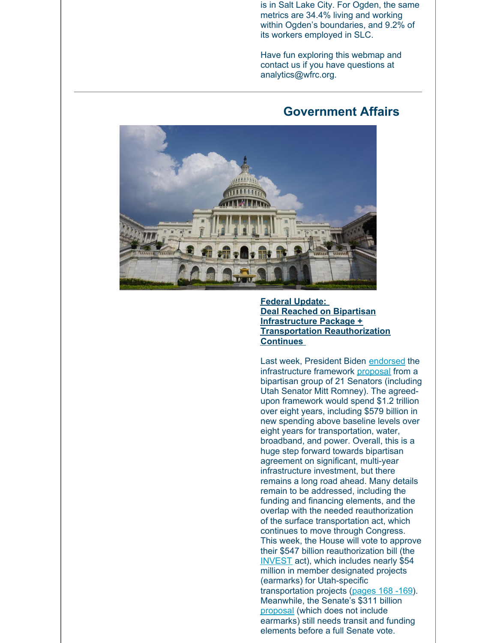is in Salt Lake City. For Ogden, the same metrics are 34.4% living and working within Ogden's boundaries, and 9.2% of its workers employed in SLC.

Have fun exploring this webmap and contact us if you have questions at analytics@wfrc.org.

#### **Government Affairs**



**Federal Update: Deal Reached on Bipartisan Infrastructure Package + Transportation Reauthorization Continues**

Last week, President Biden endorsed the infrastructure framework proposal from a bipartisan group of 21 Senators (including Utah Senator Mitt Romney). The agreedupon framework would spend \$1.2 trillion over eight years, including \$579 billion in new spending above baseline levels over eight years for transportation, water, broadband, and power. Overall, this is a huge step forward towards bipartisan agreement on significant, multi-year infrastructure investment, but there remains a long road ahead. Many details remain to be addressed, including the funding and financing elements, and the overlap with the needed reauthorization of the surface transportation act, which continues to move through Congress. This week, the House will vote to approve their \$547 billion reauthorization bill (the INVEST act), which includes nearly \$54 million in member designated projects (earmarks) for Utah-specific transportation projects (pages 168 -169). Meanwhile, the Senate's \$311 billion proposal (which does not include earmarks) still needs transit and funding elements before a full Senate vote.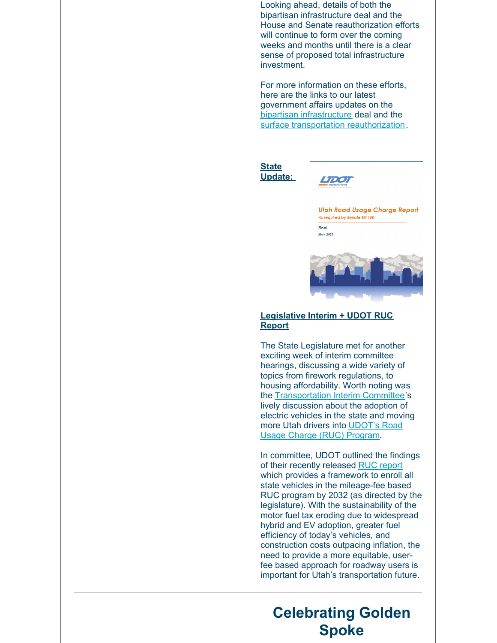Looking ahead, details of both the bipartisan infrastructure deal and the House and Senate reauthorization efforts will continue to form over the coming weeks and months until there is a clear sense of proposed total infrastructure investment.

For more information on these efforts, here are the links to our latest government affairs updates on the bipartisan infrastructure deal and the surface transportation reauthorization.





**Utah Road Usage Charge Report** As required by Senate Bill 150 Final **May 2021** 



#### **Legislative Interim + UDOT RUC Report**

The State Legislature met for another exciting week of interim committee hearings, discussing a wide variety of topics from firework regulations, to housing affordability. Worth noting was the Transportation Interim Committee's lively discussion about the adoption of electric vehicles in the state and moving more Utah drivers into UDOT's Road Usage Charge (RUC) Program.

In committee, UDOT outlined the findings of their recently released RUC report which provides a framework to enroll all state vehicles in the mileage-fee based RUC program by 2032 (as directed by the legislature). With the sustainability of the motor fuel tax eroding due to widespread hybrid and EV adoption, greater fuel efficiency of today's vehicles, and construction costs outpacing inflation, the need to provide a more equitable, userfee based approach for roadway users is important for Utah's transportation future.

# **Celebrating Golden Spoke**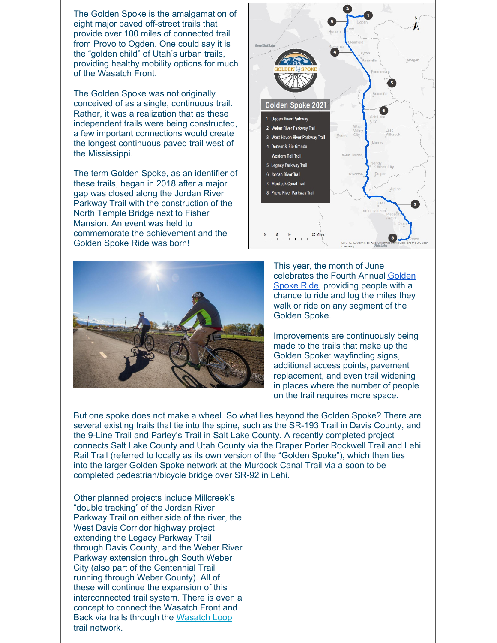The Golden Spoke is the amalgamation of eight major paved off-street trails that provide over 100 miles of connected trail from Provo to Ogden. One could say it is the "golden child" of Utah's urban trails, providing healthy mobility options for much of the Wasatch Front.

The Golden Spoke was not originally conceived of as a single, continuous trail. Rather, it was a realization that as these independent trails were being constructed, a few important connections would create the longest continuous paved trail west of the Mississippi.

The term Golden Spoke, as an identifier of these trails, began in 2018 after a major gap was closed along the Jordan River Parkway Trail with the construction of the North Temple Bridge next to Fisher Mansion. An event was held to commemorate the achievement and the Golden Spoke Ride was born!





This year, the month of June celebrates the Fourth Annual Golden Spoke Ride, providing people with a chance to ride and log the miles they walk or ride on any segment of the Golden Spoke.

Improvements are continuously being made to the trails that make up the Golden Spoke: wayfinding signs, additional access points, pavement replacement, and even trail widening in places where the number of people on the trail requires more space.

But one spoke does not make a wheel. So what lies beyond the Golden Spoke? There are several existing trails that tie into the spine, such as the SR-193 Trail in Davis County, and the 9-Line Trail and Parley's Trail in Salt Lake County. A recently completed project connects Salt Lake County and Utah County via the Draper Porter Rockwell Trail and Lehi Rail Trail (referred to locally as its own version of the "Golden Spoke"), which then ties into the larger Golden Spoke network at the Murdock Canal Trail via a soon to be completed pedestrian/bicycle bridge over SR-92 in Lehi.

Other planned projects include Millcreek's "double tracking" of the Jordan River Parkway Trail on either side of the river, the West Davis Corridor highway project extending the Legacy Parkway Trail through Davis County, and the Weber River Parkway extension through South Weber City (also part of the Centennial Trail running through Weber County). All of these will continue the expansion of this interconnected trail system. There is even a concept to connect the Wasatch Front and Back via trails through the Wasatch Loop trail network.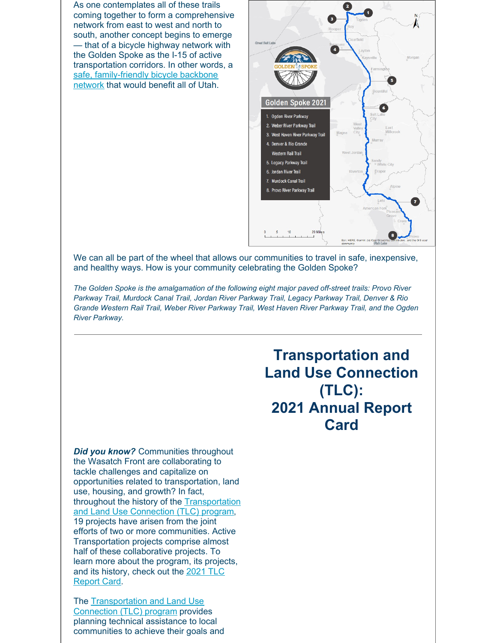As one contemplates all of these trails coming together to form a comprehensive network from east to west and north to south, another concept begins to emerge — that of a bicycle highway network with the Golden Spoke as the I-15 of active transportation corridors. In other words, a safe, family-friendly bicycle backbone network that would benefit all of Utah.



We can all be part of the wheel that allows our communities to travel in safe, inexpensive, and healthy ways. How is your community celebrating the Golden Spoke?

*The Golden Spoke is the amalgamation of the following eight major paved off-street trails: Provo River Parkway Trail, Murdock Canal Trail, Jordan River Parkway Trail, Legacy Parkway Trail, Denver & Rio Grande Western Rail Trail, Weber River Parkway Trail, West Haven River Parkway Trail, and the Ogden River Parkway.*

> **Transportation and Land Use Connection (TLC): 2021 Annual Report Card**

*Did you know?* Communities throughout the Wasatch Front are collaborating to tackle challenges and capitalize on opportunities related to transportation, land use, housing, and growth? In fact, throughout the history of the Transportation and Land Use Connection (TLC) program, 19 projects have arisen from the joint efforts of two or more communities. Active Transportation projects comprise almost half of these collaborative projects. To learn more about the program, its projects, and its history, check out the 2021 TLC Report Card.

The Transportation and Land Use Connection (TLC) program provides planning technical assistance to local communities to achieve their goals and